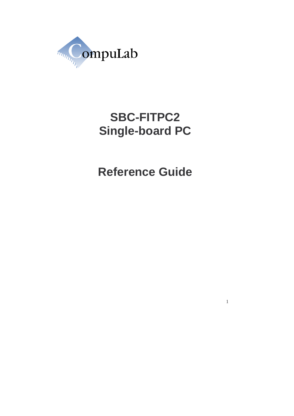

# **SBC-FITPC2 Single-board PC**

**Reference Guide**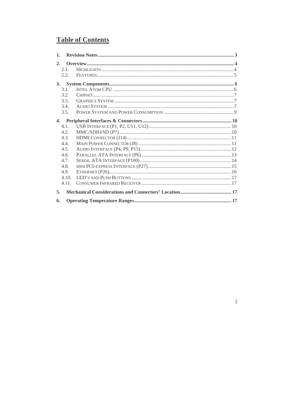# **Table of Contents**

| $\mathbf{1}$ . |       |  |
|----------------|-------|--|
| 2.             |       |  |
|                | 2.1   |  |
|                | 2.2.  |  |
| 3.             |       |  |
|                | 3.1.  |  |
|                | 3.2.  |  |
|                | 3.3.  |  |
|                | 3.4.  |  |
|                | 3.5.  |  |
| $\mathbf{4}$   |       |  |
|                | 4.1.  |  |
|                | 4.2.  |  |
|                | 4.3.  |  |
|                | 4.4.  |  |
|                | 4.5.  |  |
|                | 4.6.  |  |
|                | 4.7.  |  |
|                | 4.8.  |  |
|                | 4.9.  |  |
|                | 4.10. |  |
|                | 4.11. |  |
| 5.             |       |  |
| 6.             |       |  |

 $\overline{c}$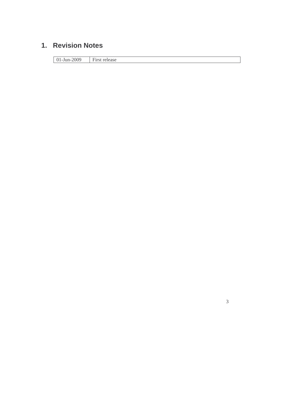## **1. Revision Notes**

01-Jun-2009 First release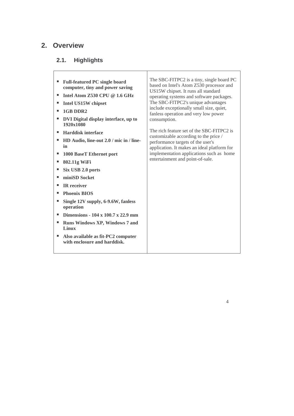# **2. Overview**

# **2.1. Highlights**

| <b>Full-featured PC single board</b><br>ш<br>computer, tiny and power saving<br>Intel Atom $Z$ 530 CPU @ 1.6 GHz<br>ш<br>Intel US15W chipset<br>1GB DDR2<br>ш<br>DVI Digital display interface, up to<br>1920x1080<br><b>Harddisk interface</b><br>٠<br>HD Audio, line-out 2.0 / mic in / line-<br>ш<br>in<br>1000 BaseT Ethernet port<br>802.11g WiFi<br>٠<br>Six USB 2.0 ports<br>ш<br>miniSD Socket<br>٠<br><b>IR</b> receiver<br>ш<br><b>Phoenix BIOS</b><br>٠<br>Single 12V supply, 6-9.6W, fanless<br>٠<br>operation<br>Dimensions - $104 \times 100.7 \times 22.9$ mm<br>٠ | The SBC-FITPC2 is a tiny, single board PC<br>based on Intel's Atom Z530 processor and<br>US15W chipset. It runs all standard<br>operating systems and software packages.<br>The SBC-FITPC2's unique advantages<br>include exceptionally small size, quiet,<br>fanless operation and very low power<br>consumption.<br>The rich feature set of the SBC-FITPC2 is<br>customizable according to the price /<br>performance targets of the user's<br>application. It makes an ideal platform for<br>implementation applications such as home<br>entertainment and point-of-sale. |
|-----------------------------------------------------------------------------------------------------------------------------------------------------------------------------------------------------------------------------------------------------------------------------------------------------------------------------------------------------------------------------------------------------------------------------------------------------------------------------------------------------------------------------------------------------------------------------------|------------------------------------------------------------------------------------------------------------------------------------------------------------------------------------------------------------------------------------------------------------------------------------------------------------------------------------------------------------------------------------------------------------------------------------------------------------------------------------------------------------------------------------------------------------------------------|
|                                                                                                                                                                                                                                                                                                                                                                                                                                                                                                                                                                                   |                                                                                                                                                                                                                                                                                                                                                                                                                                                                                                                                                                              |
| <b>Runs Windows XP, Windows 7 and</b><br>ш<br>Linux                                                                                                                                                                                                                                                                                                                                                                                                                                                                                                                               |                                                                                                                                                                                                                                                                                                                                                                                                                                                                                                                                                                              |
| Also available as fit-PC2 computer<br>ш<br>with enclosure and harddisk.                                                                                                                                                                                                                                                                                                                                                                                                                                                                                                           |                                                                                                                                                                                                                                                                                                                                                                                                                                                                                                                                                                              |
|                                                                                                                                                                                                                                                                                                                                                                                                                                                                                                                                                                                   |                                                                                                                                                                                                                                                                                                                                                                                                                                                                                                                                                                              |

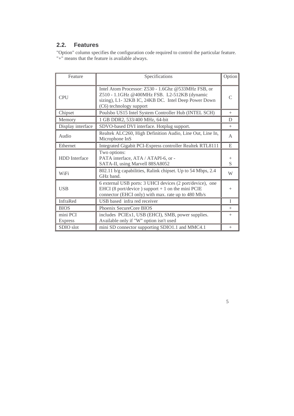#### **2.2. Features**

"Option" column specifies the configuration code required to control the particular feature. "+" means that the feature is available always.

| Specifications<br>Feature  |                                                                                                                                                                                       | Option                   |
|----------------------------|---------------------------------------------------------------------------------------------------------------------------------------------------------------------------------------|--------------------------|
| <b>CPU</b>                 | Intel Atom Processor: Z530 - 1.6Ghz @533MHz FSB, or<br>Z510 - 1.1GHz @400MHz FSB. L2-512KB (dynamic<br>sizing), L1-32KB IC, 24KB DC. Intel Deep Power Down<br>(C6) technology support | $\subset$                |
| Chipset                    | Poulsbo US15 Intel System Controller Hub (INTEL SCH)                                                                                                                                  | $+$                      |
| Memory                     | 1 GB DDR2, 533/400 MHz, 64-bit                                                                                                                                                        | D                        |
| Display interface          | SDVO-based DVI interface. Hotplug support.                                                                                                                                            | $^{+}$                   |
| Audio                      | Realtek ALC260, High Definition Audio, Line Out, Line In,<br>Microphone InS                                                                                                           | A                        |
| Ethernet                   | Integrated Gigabit PCI-Express controller Realtek RTL8111                                                                                                                             | E                        |
| <b>HDD</b> Interface       | Two options:<br>PATA interface, ATA / ATAPI-6, or -<br>SATA-II, using Marvell 88SA8052                                                                                                | $^{+}$<br>$\overline{S}$ |
| <b>WiFi</b>                | 802.11 b/g capabilities, Ralink chipset. Up to 54 Mbps, 2.4<br>GHz band.                                                                                                              | W                        |
| <b>USB</b>                 | 6 external USB ports: 3 UHCI devices (2 port/device), one<br>EHCI (8 port/device) support $+1$ on the mini PCIE<br>connector (EHCI only) with max. rate up to 480 Mb/s                | $+$                      |
| InfraRed                   | USB based infra red receiver                                                                                                                                                          | T                        |
| <b>BIOS</b>                | Phoenix SecureCore BIOS                                                                                                                                                               | $^{+}$                   |
| mini PCI<br><b>Express</b> | includes PCIEx1, USB (EHCI), SMB, power supplies.<br>Available only if "W" option isn't used                                                                                          | $+$                      |
| SDIO slot                  | mini SD connector supporting SDIO1.1 and MMC4.1                                                                                                                                       | $+$                      |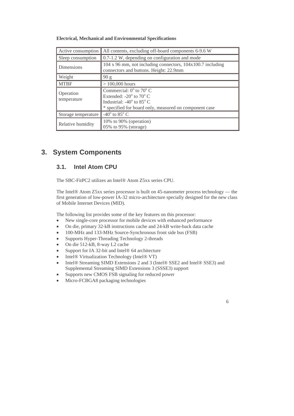#### **Electrical, Mechanical and Environmental Specifications**

| Active consumption       | All contents, excluding off-board components 6-9.6 W                                                                                                                                             |
|--------------------------|--------------------------------------------------------------------------------------------------------------------------------------------------------------------------------------------------|
| Sleep consumption        | 0.7-1.2 W, depending on configuration and mode                                                                                                                                                   |
| <b>Dimensions</b>        | 104 x 96 mm, not including connectors, 104x100.7 including<br>connectors and buttons. Height: 22.9mm                                                                                             |
| Weight                   | 90 g                                                                                                                                                                                             |
| <b>MTBF</b>              | $> 100,000$ hours                                                                                                                                                                                |
| Operation<br>temperature | Commercial: $0^{\circ}$ to $70^{\circ}$ C<br>Extended: -20 $\degree$ to 70 $\degree$ C<br>Industrial: $-40^{\circ}$ to 85 $^{\circ}$ C<br>* specified for board only, measured on component case |
| Storage temperature      | -40 $\rm ^{o}$ to 85 $\rm ^{o}$ C                                                                                                                                                                |
| Relative humidity        | 10% to 90% (operation)<br>05% to 95% (storage)                                                                                                                                                   |

### **3. System Components**

#### **3.1. Intel Atom CPU**

The SBC-FitPC2 utilizes an Intel® Atom Z5xx series CPU.

The Intel® Atom Z5xx series processor is built on 45-nanometer process technology — the first generation of low-power IA-32 micro-architecture specially designed for the new class of Mobile Internet Devices (MID).

The following list provides some of the key features on this processor:

- New single-core processor for mobile devices with enhanced performance
- On die, primary 32-kB instructions cache and 24-kB write-back data cache
- 100-MHz and 133-MHz Source-Synchronous front side bus (FSB)
- Supports Hyper-Threading Technology 2-threads
- On die 512-kB, 8-way L2 cache
- Support for IA 32-bit and Intel® 64 architecture
- Intel® Virtualization Technology (Intel® VT)
- Intel® Streaming SIMD Extensions 2 and 3 (Intel® SSE2 and Intel® SSE3) and Supplemental Streaming SIMD Extensions 3 (SSSE3) support
- Supports new CMOS FSB signaling for reduced power
- Micro-FCBGA8 packaging technologies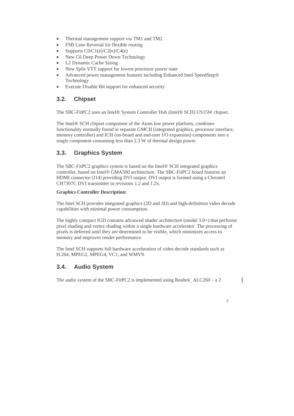- Thermal management support via TM1 and TM2
- FSB Lane Reversal for flexible routing
- Supports C0/C1(e)/C2(e)/C4(e)
- New C6 Deep Power Down Technology
- L2 Dynamic Cache Sizing
- New Split-VTT support for lowest processor power state
- Advanced power management features including Enhanced Intel SpeedStep® Technology
- Execute Disable Bit support for enhanced security

#### **3.2. Chipset**

The SBC-FitPC2 uses an Intel® System Controller Hub (Intel® SCH) US15W chipset.

The Intel® SCH chipset component of the Atom low power platform, combines functionality normally found in separate GMCH (integrated graphics, processor interface, memory controller) and ICH (on-board and end-user I/O expansion) components into a single component consuming less than 2.3 W of thermal design power.

### **3.3. Graphics System**

The SBC-FitPC2 graphics system is based on the Intel® SCH integrated graphics controller, based on Intel® GMA500 architecture. The SBC-FitPC2 board features an HDMI connector (J14) providing DVI output. DVI output is formed using a Chrontel CH7307C DVI transmitter in revisions 1.2 and 1.2x.

#### **Graphics Controller Description:**

The Intel SCH provides integrated graphics (2D and 3D) and high-definition video decode capabilities with minimal power consumption.

The highly compact IGD contains advanced shader architecture (model 3.0+) that performs pixel shading and vertex shading within a single hardware accelerator. The processing of pixels is deferred until they are determined to be visible, which minimizes access to memory and improves render performance.

The Intel SCH supports full hardware acceleration of video decode standards such as H.264, MPEG2, MPEG4, VC1, and WMV9.

#### **3.4. Audio System**

The audio system of the SBC-FitPC2 is implemented using Realtek' ALC260 – a 2

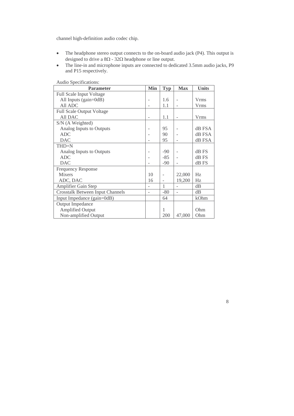channel high-definition audio codec chip.

- The headphone stereo output connects to the on-board audio jack (P4). This output is designed to drive a 8Ω - 32Ω headphone or line output.
- The line-in and microphone inputs are connected to dedicated 3.5mm audio jacks, P9 and P15 respectively.

| <b>Parameter</b>                        | <b>Min</b>               | <b>Typ</b> | <b>Max</b> | <b>Units</b> |
|-----------------------------------------|--------------------------|------------|------------|--------------|
| <b>Full Scale Input Voltage</b>         |                          |            |            |              |
| All Inputs $(gain=0dB)$                 |                          | 1.6        |            | <b>V</b> rms |
| All ADC                                 |                          | 1.1        |            | <b>Vrms</b>  |
| <b>Full Scale Output Voltage</b>        |                          |            |            |              |
| All DAC                                 | ۰                        | 1.1        |            | <b>Vrms</b>  |
| S/N (A Weighted)                        |                          |            |            |              |
| Analog Inputs to Outputs                |                          | 95         |            | dB FSA       |
| <b>ADC</b>                              |                          | 90         |            | dB FSA       |
| <b>DAC</b>                              |                          | 95         |            | dB FSA       |
| THD+N                                   |                          |            |            |              |
| Analog Inputs to Outputs                |                          | $-90$      |            | dB FS        |
| <b>ADC</b>                              |                          | $-85$      |            | dB FS        |
| <b>DAC</b>                              |                          | $-90$      |            | dB FS        |
| <b>Frequency Response</b>               |                          |            |            |              |
| <b>Mixers</b>                           | 10                       |            | 22,000     | Hz           |
| ADC, DAC                                | 16                       |            | 19,200     | Hz           |
| Amplifier Gain Step                     |                          | 1          |            | dB           |
| <b>Crosstalk Between Input Channels</b> | $\overline{\phantom{a}}$ | $-80$      |            | dB           |
| Input Impedance (gain=0dB)              |                          | 64         |            | kOhm         |
| Output Impedance                        |                          |            |            |              |
| <b>Amplified Output</b>                 |                          | 1          |            | Ohm          |
| Non-amplified Output                    |                          | 200        | 47,000     | Ohm          |

Audio Specifications: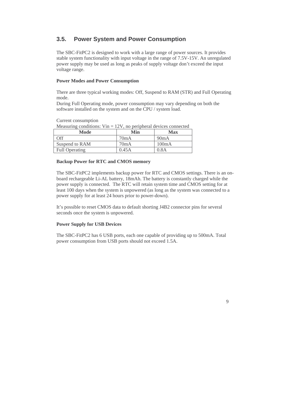#### **3.5. Power System and Power Consumption**

The SBC-FitPC2 is designed to work with a large range of power sources. It provides stable system functionality with input voltage in the range of 7.5V-15V. An unregulated power supply may be used as long as peaks of supply voltage don't exceed the input voltage range.

#### **Power Modes and Power Consumption**

There are three typical working modes: Off, Suspend to RAM (STR) and Full Operating mode.

During Full Operating mode, power consumption may vary depending on both the software installed on the system and on the CPU / system load.

Current consumption

|  |  | Measuring conditions: $V$ in = 12V, no peripheral devices connected |
|--|--|---------------------------------------------------------------------|
|--|--|---------------------------------------------------------------------|

| Mode                  | Min   | Max   |
|-----------------------|-------|-------|
| F(f)                  | 70mA  | 90mA  |
| Suspend to RAM        | 70mA  | 100mA |
| <b>Full Operating</b> | 0.45A | 0.8A  |

#### **Backup Power for RTC and CMOS memory**

The SBC-FitPC2 implements backup power for RTC and CMOS settings. There is an onboard rechargeable Li-AL battery, 18mAh. The battery is constantly charged while the power supply is connected. The RTC will retain system time and CMOS setting for at least 100 days when the system is unpowered (as long as the system was connected to a power supply for at least 24 hours prior to power-down).

It's possible to reset CMOS data to default shorting J4B2 connector pins for several seconds once the system is unpowered.

#### **Power Supply for USB Devices**

The SBC-FitPC2 has 6 USB ports, each one capable of providing up to 500mA. Total power consumption from USB ports should not exceed 1.5A.

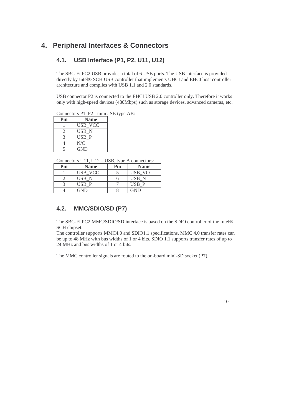### **4. Peripheral Interfaces & Connectors**

#### **4.1. USB Interface (P1, P2, U11, U12)**

The SBC-FitPC2 USB provides a total of 6 USB ports. The USB interface is provided directly by Intel® SCH USB controller that implements UHCI and EHCI host controller architecture and complies with USB 1.1 and 2.0 standards.

USB connector P2 is connected to the EHCI USB 2.0 controller only. Therefore it works only with high-speed devices (480Mbps) such as storage devices, advanced cameras, etc.

Connectors P1, P2 - miniUSB type AB:

| Pin | <b>Name</b>      |
|-----|------------------|
|     | USB VCC          |
|     | USB <sub>N</sub> |
|     | USB P            |
|     | N/C              |
|     | <b>GND</b>       |

Connectors U11, U12 – USB, type A connectors:

| Pin | <b>Name</b> | Pin | <b>Name</b> |
|-----|-------------|-----|-------------|
|     | USB VCC     |     | USB VCC     |
|     | USB N       |     | USB N       |
|     | USB P       |     | USB P       |
|     | GND         |     | GND         |

#### **4.2. MMC/SDIO/SD (P7)**

The SBC-FitPC2 MMC/SDIO/SD interface is based on the SDIO controller of the Intel® SCH chipset.

The controller supports MMC4.0 and SDIO1.1 specifications. MMC 4.0 transfer rates can be up to 48 MHz with bus widths of 1 or 4 bits. SDIO 1.1 supports transfer rates of up to 24 MHz and bus widths of 1 or 4 bits.

The MMC controller signals are routed to the on-board mini-SD socket (P7).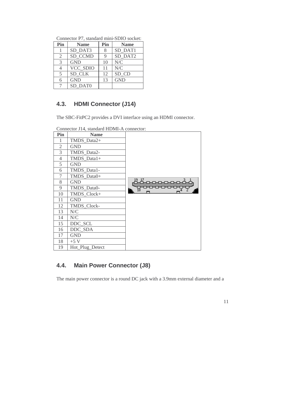| Connector 1 <i>i</i> , building mini DDTO bocket. |                 |     |             |  |
|---------------------------------------------------|-----------------|-----|-------------|--|
| Pin                                               | <b>Name</b>     | Pin | <b>Name</b> |  |
|                                                   | SD DAT3         |     | SD_DAT1     |  |
| $\overline{2}$                                    | SD CCMD         |     | SD DAT2     |  |
| 3                                                 | <b>GND</b>      | 10  | N/C         |  |
|                                                   | <b>VCC SDIO</b> | 11  | N/C         |  |
| 5                                                 | SD_CLK          | 12  | SD CD       |  |
| 6                                                 | <b>GND</b>      | 13  | <b>GND</b>  |  |
|                                                   | SD DAT0         |     |             |  |

Connector P7, standard mini-SDIO socket:

### **4.3. HDMI Connector (J14)**

The SBC-FitPC2 provides a DVI interface using an HDMI connector.

Connector J14, standard HDMI-A connector:

| Pin            | <b>Name</b>     |       |
|----------------|-----------------|-------|
| 1              | TMDS_Data2+     |       |
| $\overline{2}$ | <b>GND</b>      |       |
| 3              | TMDS Data2-     |       |
| 4              | TMDS_Data1+     |       |
| 5              | <b>GND</b>      |       |
| 6              | TMDS_Data1-     |       |
| $\tau$         | TMDS_Data0+     |       |
| 8              | <b>GND</b>      | 19_17 |
| 9              | TMDS_Data0-     | 닪     |
| 10             | TMDS_Clock+     |       |
| 11             | <b>GND</b>      |       |
| 12             | TMDS_Clock-     |       |
| 13             | N/C             |       |
| 14             | $N\!/\!C$       |       |
| 15             | DDC_SCL         |       |
| 16             | DDC SDA         |       |
| 17             | <b>GND</b>      |       |
| 18             | $+5$ V          |       |
| 19             | Hot_Plug_Detect |       |

### **4.4. Main Power Connector (J8)**

The main power connector is a round DC jack with a 3.9mm external diameter and a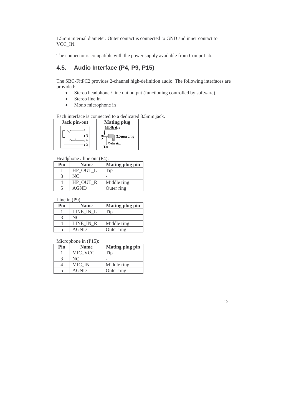1.5mm internal diameter. Outer contact is connected to GND and inner contact to VCC\_IN.

The connector is compatible with the power supply available from CompuLab.

### **4.5. Audio Interface (P4, P9, P15)**

The SBC-FitPC2 provides 2-channel high-definition audio. The following interfaces are provided:

- Stereo headphone / line out output (functioning controlled by software).
- Stereo line in
- Mono microphone in

Each interface is connected to a dedicated 3.5mm jack.

| Jack pin-out | <b>Mating plug</b> |
|--------------|--------------------|
| o 1          | Middle ring        |
| o 3          | 2.5mm plug         |
| 4ء           | Outer ring         |
| 5ه           | ጥሎ                 |

Headphone / line out (P4):

| Pin | <b>Name</b> | <b>Mating plug pin</b> |
|-----|-------------|------------------------|
|     | HP OUT L    | "ip                    |
|     | NC.         |                        |
|     | HP OUT R    | Middle ring            |
|     | <b>AGND</b> | Outer ring             |

Line in (P9):

| Pin | <b>Name</b> | <b>Mating plug pin</b> |
|-----|-------------|------------------------|
|     | LINE IN L   | Tin                    |
|     | NC          |                        |
|     | LINE IN R   | Middle ring            |
|     | AGND        | Outer ring             |

Microphone in (P15):

| Pin | <b>Name</b> | <b>Mating plug pin</b> |
|-----|-------------|------------------------|
|     | MIC VCC     | Гiр                    |
|     | NC          |                        |
|     | MIC IN      | Middle ring            |
|     | AGND        | Outer ring             |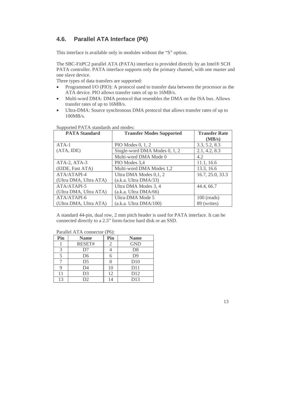#### **4.6. Parallel ATA Interface (P6)**

This interface is available only in modules without the "S" option.

The SBC-FitPC2 parallel ATA (PATA) interface is provided directly by an Intel® SCH PATA controller. PATA interface supports only the primary channel, with one master and one slave device.

Three types of data transfers are supported:

- Programmed I/O (PIO): A protocol used to transfer data between the processor as the ATA device. PIO allows transfer rates of up to 16MB/s.
- Multi-word DMA: DMA protocol that resembles the DMA on the ISA bus. Allows transfer rates of up to 16MB/s.
- Ultra-DMA: Source synchronous DMA protocol that allows transfer rates of up to 100MB/s.

| <b>PATA Standard</b>   | <b>Transfer Modes Supported</b> | <b>Transfer Rate</b> |
|------------------------|---------------------------------|----------------------|
|                        |                                 | (MB/s)               |
| $ATA-1$                | PIO Modes $0, 1, 2$             | 3.3, 5.2, 8.3        |
| (ATA, IDE)             | Single-word DMA Modes 0, 1, 2   | 2.1, 4.2, 8.3        |
|                        | Multi-word DMA Mode 0           | 4.2                  |
| ATA-2, ATA-3           | PIO Modes 3.4                   | 11.1, 16.6           |
| (EIDE, Fast ATA)       | Multi-word DMA Modes 1,2        | 13.3, 16.6           |
| ATA/ATAPI-4            | Ultra DMA Modes 0,1, 2          | 16.7, 25.0, 33.3     |
| (Ultra DMA, Ultra ATA) | (a.k.a. Ultra DMA/33)           |                      |
| ATA/ATAPI-5            | Ultra DMA Modes 3, 4            | 44.4, 66.7           |
| (Ultra DMA, Ultra ATA) | (a.k.a. Ultra DMA/66)           |                      |
| ATA/ATAPI-6            | Ultra-DMA Mode 5                | $100$ (reads)        |
| (Ultra DMA, Ultra ATA) | (a.k.a. Ultra DMA/100)          | 89 (writes)          |

Supported PATA standards and modes:

A standard 44-pin, dual row, 2 mm pitch header is used for PATA interface. It can be connected directly to a 2.5" form-factor hard disk or an SSD.

| Pin | <b>Name</b>    | Pin | <b>Name</b>     |
|-----|----------------|-----|-----------------|
|     | RESET#         |     | <b>GND</b>      |
| 3   | D7             |     | D <sub>8</sub>  |
|     | D <sub>6</sub> |     | D <sub>9</sub>  |
|     | D <sub>5</sub> |     | D10             |
|     | D <sub>4</sub> | 10  | D11             |
| 11  | D <sub>3</sub> | 12  | D <sub>12</sub> |
| 13  | D <sub>2</sub> | 14  | D13             |

Parallel ATA connector (P6):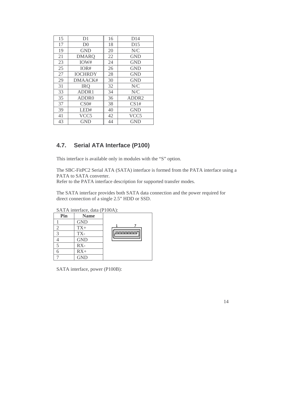| 15 | D <sub>1</sub>    | 16 | D14               |
|----|-------------------|----|-------------------|
| 17 | D <sub>0</sub>    | 18 | D15               |
| 19 | <b>GND</b>        | 20 | N/C               |
| 21 | <b>DMARO</b>      | 22 | <b>GND</b>        |
| 23 | IOW#              | 24 | <b>GND</b>        |
| 25 | IOR#              | 26 | <b>GND</b>        |
| 27 | <b>IOCHRDY</b>    | 28 | <b>GND</b>        |
| 29 | DMAACK#           | 30 | <b>GND</b>        |
| 31 | <b>IRO</b>        | 32 | N/C               |
| 33 | ADDR1             | 34 | N/C               |
| 35 | ADDR <sub>0</sub> | 36 | ADDR <sub>2</sub> |
| 37 | CS0#              | 38 | CS1#              |
| 39 | LED#              | 40 | <b>GND</b>        |
| 41 | VCC <sub>5</sub>  | 42 | VCC <sub>5</sub>  |
| 43 | GND               | 44 | GND               |

### **4.7. Serial ATA Interface (P100)**

This interface is available only in modules with the "S" option.

The SBC-FitPC2 Serial ATA (SATA) interface is formed from the PATA interface using a PATA to SATA converter.

Refer to the PATA interface description for supported transfer modes.

The SATA interface provides both SATA data connection and the power required for direct connection of a single 2.5" HDD or SSD.

SATA interface, data (P100A):

| Pin | <b>Name</b> |                |
|-----|-------------|----------------|
|     | <b>GND</b>  |                |
|     | $TX+$       |                |
| ∍   | TX-         | <b>nononon</b> |
|     | <b>GND</b>  |                |
|     | $RX -$      |                |
|     | $RX+$       |                |
|     | <b>GND</b>  |                |

SATA interface, power (P100B):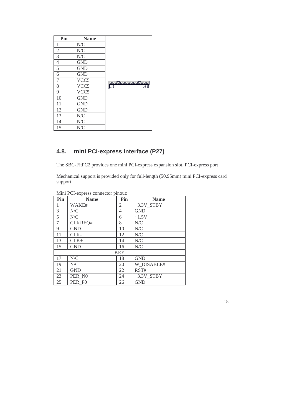| Pin            | <b>Name</b>      |                                      |
|----------------|------------------|--------------------------------------|
| 1              | $N\!/\!C$        |                                      |
| $\sqrt{2}$     | N/C              |                                      |
| $\overline{3}$ | N/C              |                                      |
| $\overline{4}$ | <b>GND</b>       |                                      |
| $\overline{5}$ | <b>GND</b>       |                                      |
| 6              | <b>GND</b>       |                                      |
| 7              | VCC <sub>5</sub> |                                      |
| 8              | VCC <sub>5</sub> | 000000000000000<br>1415 1415<br>1415 |
| 9              | VCC <sub>5</sub> |                                      |
| 10             | <b>GND</b>       |                                      |
| 11             | <b>GND</b>       |                                      |
| 12             | <b>GND</b>       |                                      |
| 13             | N/C              |                                      |
| 14             | N/C              |                                      |
| 15             | N/C              |                                      |

### **4.8. mini PCI-express Interface (P27)**

The SBC-FitPC2 provides one mini PCI-express expansion slot. PCI-express port

Mechanical support is provided only for full-length (50.95mm) mini PCI-express card support.

| Pin | <b>Name</b> | Pin            | <b>Name</b>              |
|-----|-------------|----------------|--------------------------|
| 1   | WAKE#       | 2              | $+3.3V$ <sub>_STBY</sub> |
| 3   | N/C         | $\overline{4}$ | <b>GND</b>               |
| 5   | N/C         | 6              | $+1.5V$                  |
| 7   | CLKREQ#     | 8              | N/C                      |
| 9   | <b>GND</b>  | 10             | N/C                      |
| 11  | $CLK-$      | 12             | N/C                      |
| 13  | $CLK+$      | 14             | N/C                      |
| 15  | <b>GND</b>  | 16             | N/C                      |
|     | <b>KEY</b>  |                |                          |
| 17  | N/C         | 18             | <b>GND</b>               |
| 19  | N/C         | 20             | W DISABLE#               |
| 21  | <b>GND</b>  | 22             | RST#                     |
| 23  | PER NO      | 24             | $+3.3V$ <sub>_STBY</sub> |
| 25  | PER PO      | 26             | <b>GND</b>               |

Mini PCI-express connector pinout: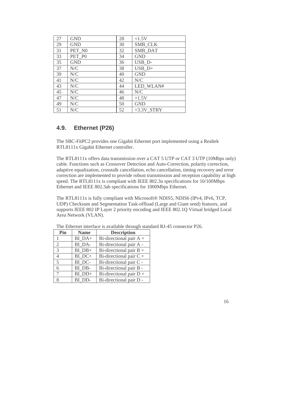| 27 | <b>GND</b>                                           | 28 | $+1.5V$      |
|----|------------------------------------------------------|----|--------------|
| 29 | <b>GND</b>                                           | 30 | SMB_CLK      |
| 31 | PET NO                                               | 32 | SMB_DAT      |
| 33 | PET PO                                               | 34 | <b>GND</b>   |
| 35 | <b>GND</b>                                           | 36 | USB_D-       |
| 37 | N/C                                                  | 38 | $USB_D+$     |
| 39 | N/C                                                  | 40 | <b>GND</b>   |
| 41 | $\ensuremath{\text{N}}\xspace/\ensuremath{\text{C}}$ | 42 | N/C          |
| 43 | $\ensuremath{\text{N}}\xspace/\ensuremath{\text{C}}$ | 44 | LED WLAN#    |
| 45 | N/C                                                  | 46 | N/C          |
| 47 | N/C                                                  | 48 | $+1.5V$      |
| 49 | $\ensuremath{\text{N}}\xspace/\ensuremath{\text{C}}$ | 50 | <b>GND</b>   |
| 51 | N/C                                                  | 52 | $+3.3V$ STBY |

#### **4.9. Ethernet (P26)**

The SBC-FitPC2 provides one Gigabit Ethernet port implemented using a Realtek RTL8111x Gigabit Ethernet controller.

The RTL8111x offers data transmission over a CAT 5 UTP or CAT 3 UTP (10Mbps only) cable. Functions such as Crossover Detection and Auto-Correction, polarity correction, adaptive equalization, crosstalk cancellation, echo cancellation, timing recovery and error correction are implemented to provide robust transmission and reception capability at high speed. The RTL8111x is compliant with IEEE 802.3u specifications for 10/100Mbps Ethernet and IEEE 802.3ab specifications for 1000Mbps Ethernet.

The RTL8111x is fully compliant with Microsoft® NDIS5, NDIS6 (IPv4, IPv6, TCP, UDP) Checksum and Segmentation Task-offload (Large and Giant send) features, and supports IEEE 802 IP Layer 2 priority encoding and IEEE 802.1Q Virtual bridged Local Area Network (VLAN).

| Pin    | <b>Name</b> | <b>Description</b>        |
|--------|-------------|---------------------------|
|        | BI DA+      | Bi-directional pair $A +$ |
| 2      | BI DA-      | Bi-directional pair A -   |
| 3      | $BI$ $DB+$  | Bi-directional pair $B +$ |
| 4      | BI DC+      | Bi-directional pair $C +$ |
| 5      | BI DC-      | Bi-directional pair C -   |
| 6      | BI DB-      | Bi-directional pair B -   |
| $\tau$ | BI DD+      | Bi-directional pair $D +$ |
| 8      | BI DD-      | Bi-directional pair D -   |

The Ethernet interface is available through standard RJ-45 connector P26.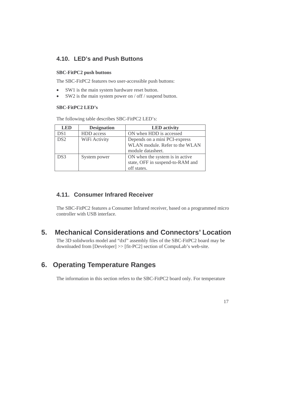#### **4.10. LED's and Push Buttons**

#### **SBC-FitPC2 push buttons**

The SBC-FitPC2 features two user-accessible push buttons:

- SW1 is the main system hardware reset button.
- SW2 is the main system power on / off / suspend button.

#### **SBC-FitPC2 LED's**

The following table describes SBC-FitPC2 LED's:

| <b>LED</b>      | <b>Designation</b> | <b>LED</b> activity              |
|-----------------|--------------------|----------------------------------|
| DS1             | <b>HDD</b> access  | ON when HDD is accessed          |
| DS <sub>2</sub> | WiFi Activity      | Depends on a mini PCI-express    |
|                 |                    | WLAN module. Refer to the WLAN   |
|                 |                    | module datasheet.                |
| DS <sub>3</sub> | System power       | ON when the system is in active  |
|                 |                    | state, OFF in suspend-to-RAM and |
|                 |                    | off states.                      |

#### **4.11. Consumer Infrared Receiver**

The SBC-FitPC2 features a Consumer Infrared receiver, based on a programmed micro controller with USB interface.

### **5. Mechanical Considerations and Connectors' Location**

The 3D solidworks model and "dxf" assembly files of the SBC-FitPC2 board may be downloaded from [Developer] >> [fit-PC2] section of CompuLab's web-site.

### **6. Operating Temperature Ranges**

The information in this section refers to the SBC-FitPC2 board only. For temperature